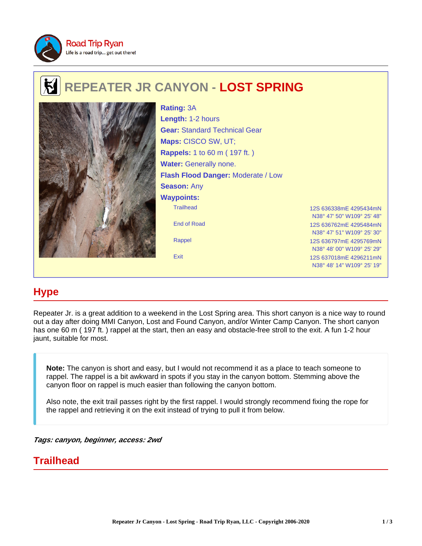

# **REPEATER JR CANYON - LOST SPRING**



Trailhead 12S 636338mE 4295434mN End of Road 12S 636762mE 4295484mN Rappel 12S 636797mE 4295769mN **Rating:** 3A **Length:** 1-2 hours **Gear:** Standard Technical Gear **Maps:** CISCO SW, UT; **Rappels:** 1 to 60 m ( 197 ft. ) **Water:** Generally none. **Flash Flood Danger:** Moderate / Low **Season:** Any **Waypoints:**

N38° 47' 50" W109° 25' 48" N38° 47' 51" W109° 25' 30" N38° 48' 00" W109° 25' 29" Exit 12S 637018mE 4296211mN N38° 48' 14" W109° 25' 19"

## **Hype**

Repeater Jr. is a great addition to a weekend in the Lost Spring area. This short canyon is a nice way to round out a day after doing MMI Canyon, Lost and Found Canyon, and/or Winter Camp Canyon. The short canyon has one 60 m ( 197 ft. ) rappel at the start, then an easy and obstacle-free stroll to the exit. A fun 1-2 hour jaunt, suitable for most.

**Note:** The canyon is short and easy, but I would not recommend it as a place to teach someone to rappel. The rappel is a bit awkward in spots if you stay in the canyon bottom. Stemming above the canyon floor on rappel is much easier than following the canyon bottom.

Also note, the exit trail passes right by the first rappel. I would strongly recommend fixing the rope for the rappel and retrieving it on the exit instead of trying to pull it from below.

**Tags: canyon, beginner, access: 2wd**

### **Trailhead**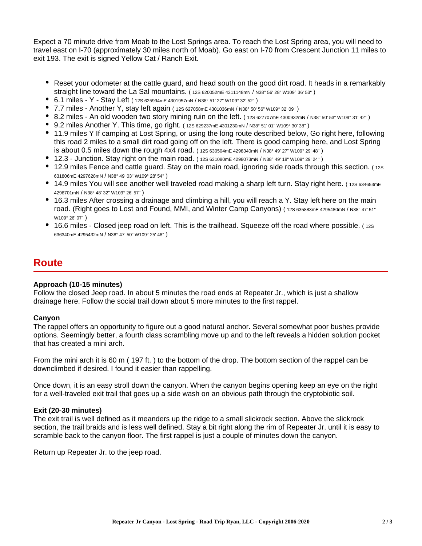Expect a 70 minute drive from Moab to the Lost Springs area. To reach the Lost Spring area, you will need to travel east on I-70 (approximately 30 miles north of Moab). Go east on I-70 from Crescent Junction 11 miles to exit 193. The exit is signed Yellow Cat / Ranch Exit.

- Reset your odometer at the cattle guard, and head south on the good dirt road. It heads in a remarkably straight line toward the La Sal mountains. ( 12S 620052mE 4311148mN / N38° 56' 28" W109° 36' 53" )
- 6.1 miles Y Stay Left ( 12S 625994mE 4301957mN / N38° 51' 27" W109° 32' 52" )
- 7.7 miles Another Y, stay left again ( 12S 627058mE 4301036mN / N38° 50' 56" W109° 32' 09" )
- 8.2 miles An old wooden two story mining ruin on the left. (12S 627707mE 4300932mN / N38° 50' 53" W109° 31' 42")
- 9.2 miles Another Y. This time, go right. ( 12S 629237mE 4301230mN / N38° 51' 01" W109° 30' 38" )
- 11.9 miles Y If camping at Lost Spring, or using the long route described below, Go right here, following this road 2 miles to a small dirt road going off on the left. There is good camping here, and Lost Spring is about 0.5 miles down the rough 4x4 road. ( 12S 630504mE 4298340mN / N38° 49' 27" W109° 29' 48" )
- 12.3 Junction. Stay right on the main road. ( $12$ S 631080mE 4298073mN / N38° 49' 18" W109° 29' 24")
- 12.9 miles Fence and cattle guard. Stay on the main road, ignoring side roads through this section. (12S) 631806mE 4297628mN / N38° 49' 03" W109° 28' 54" )
- 14.9 miles You will see another well traveled road making a sharp left turn. Stay right here. (12S 634653mE 4296701mN / N38° 48' 32" W109° 26' 57" )
- 16.3 miles After crossing a drainage and climbing a hill, you will reach a Y. Stay left here on the main road. (Right goes to Lost and Found, MMI, and Winter Camp Canyons) (12S 635883mE 4295480mN / N38° 47' 51" W109° 26' 07" )
- 16.6 miles Closed jeep road on left. This is the trailhead. Squeeze off the road where possible. (12S) 636340mE 4295432mN / N38° 47' 50" W109° 25' 48" )

### **Route**

### **Approach (10-15 minutes)**

Follow the closed Jeep road. In about 5 minutes the road ends at Repeater Jr., which is just a shallow drainage here. Follow the social trail down about 5 more minutes to the first rappel.

### **Canyon**

The rappel offers an opportunity to figure out a good natural anchor. Several somewhat poor bushes provide options. Seemingly better, a fourth class scrambling move up and to the left reveals a hidden solution pocket that has created a mini arch.

From the mini arch it is 60 m ( 197 ft. ) to the bottom of the drop. The bottom section of the rappel can be downclimbed if desired. I found it easier than rappelling.

Once down, it is an easy stroll down the canyon. When the canyon begins opening keep an eye on the right for a well-traveled exit trail that goes up a side wash on an obvious path through the cryptobiotic soil.

### **Exit (20-30 minutes)**

The exit trail is well defined as it meanders up the ridge to a small slickrock section. Above the slickrock section, the trail braids and is less well defined. Stay a bit right along the rim of Repeater Jr. until it is easy to scramble back to the canyon floor. The first rappel is just a couple of minutes down the canyon.

Return up Repeater Jr. to the jeep road.